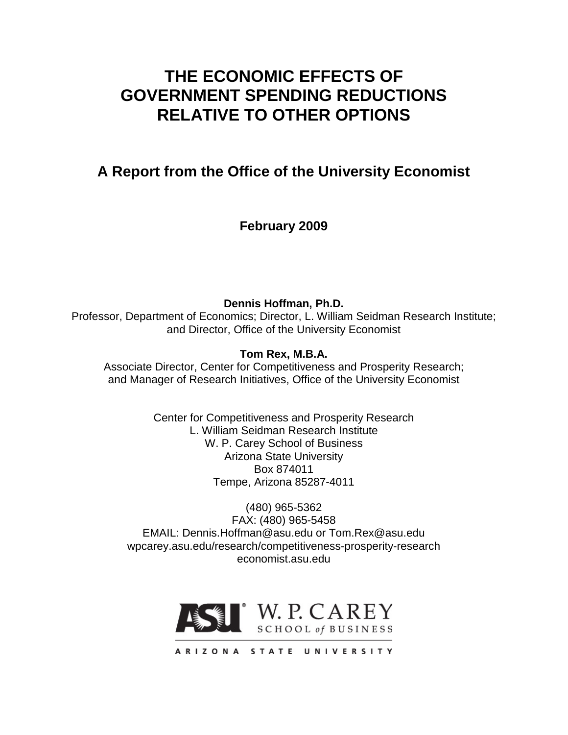# **THE ECONOMIC EFFECTS OF GOVERNMENT SPENDING REDUCTIONS RELATIVE TO OTHER OPTIONS**

## **A Report from the Office of the University Economist**

**February 2009**

**Dennis Hoffman, Ph.D.** Professor, Department of Economics; Director, L. William Seidman Research Institute; and Director, Office of the University Economist

**Tom Rex, M.B.A.**

Associate Director, Center for Competitiveness and Prosperity Research; and Manager of Research Initiatives, Office of the University Economist

> Center for Competitiveness and Prosperity Research L. William Seidman Research Institute W. P. Carey School of Business Arizona State University Box 874011 Tempe, Arizona 85287-4011

(480) 965-5362 FAX: (480) 965-5458 EMAIL: Dennis.Hoffman@asu.edu or Tom.Rex@asu.edu wpcarey.asu.edu/research/competitiveness-prosperity-research economist.asu.edu



ARIZONA STATE UNIVERSITY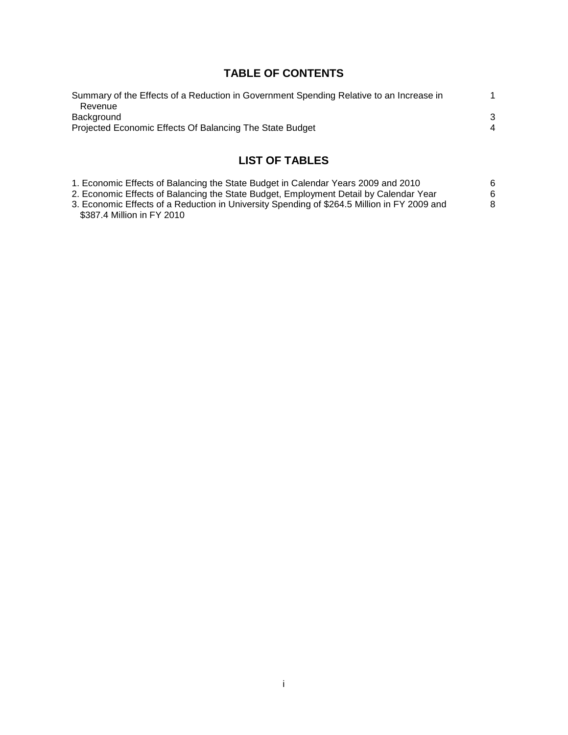## **TABLE OF CONTENTS**

| Summary of the Effects of a Reduction in Government Spending Relative to an Increase in |   |
|-----------------------------------------------------------------------------------------|---|
| Revenue                                                                                 |   |
| Background                                                                              | 3 |
| Projected Economic Effects Of Balancing The State Budget                                | 4 |
|                                                                                         |   |
|                                                                                         |   |

## **LIST OF TABLES**

| 1. Economic Effects of Balancing the State Budget in Calendar Years 2009 and 2010           | 6 |
|---------------------------------------------------------------------------------------------|---|
| 2. Economic Effects of Balancing the State Budget, Employment Detail by Calendar Year       | 6 |
| 3. Economic Effects of a Reduction in University Spending of \$264.5 Million in FY 2009 and | 8 |
| \$387.4 Million in FY 2010                                                                  |   |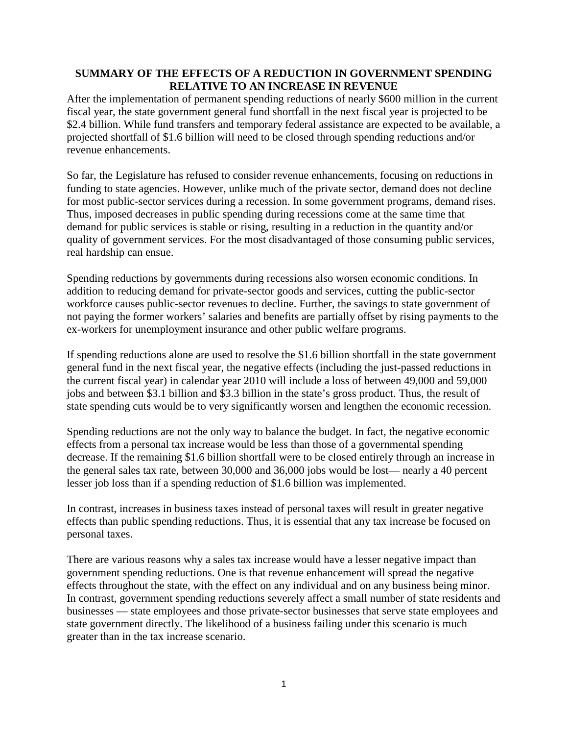#### **SUMMARY OF THE EFFECTS OF A REDUCTION IN GOVERNMENT SPENDING RELATIVE TO AN INCREASE IN REVENUE**

After the implementation of permanent spending reductions of nearly \$600 million in the current fiscal year, the state government general fund shortfall in the next fiscal year is projected to be \$2.4 billion. While fund transfers and temporary federal assistance are expected to be available, a projected shortfall of \$1.6 billion will need to be closed through spending reductions and/or revenue enhancements.

So far, the Legislature has refused to consider revenue enhancements, focusing on reductions in funding to state agencies. However, unlike much of the private sector, demand does not decline for most public-sector services during a recession. In some government programs, demand rises. Thus, imposed decreases in public spending during recessions come at the same time that demand for public services is stable or rising, resulting in a reduction in the quantity and/or quality of government services. For the most disadvantaged of those consuming public services, real hardship can ensue.

Spending reductions by governments during recessions also worsen economic conditions. In addition to reducing demand for private-sector goods and services, cutting the public-sector workforce causes public-sector revenues to decline. Further, the savings to state government of not paying the former workers' salaries and benefits are partially offset by rising payments to the ex-workers for unemployment insurance and other public welfare programs.

If spending reductions alone are used to resolve the \$1.6 billion shortfall in the state government general fund in the next fiscal year, the negative effects (including the just-passed reductions in the current fiscal year) in calendar year 2010 will include a loss of between 49,000 and 59,000 jobs and between \$3.1 billion and \$3.3 billion in the state's gross product. Thus, the result of state spending cuts would be to very significantly worsen and lengthen the economic recession.

Spending reductions are not the only way to balance the budget. In fact, the negative economic effects from a personal tax increase would be less than those of a governmental spending decrease. If the remaining \$1.6 billion shortfall were to be closed entirely through an increase in the general sales tax rate, between 30,000 and 36,000 jobs would be lost— nearly a 40 percent lesser job loss than if a spending reduction of \$1.6 billion was implemented.

In contrast, increases in business taxes instead of personal taxes will result in greater negative effects than public spending reductions. Thus, it is essential that any tax increase be focused on personal taxes.

There are various reasons why a sales tax increase would have a lesser negative impact than government spending reductions. One is that revenue enhancement will spread the negative effects throughout the state, with the effect on any individual and on any business being minor. In contrast, government spending reductions severely affect a small number of state residents and businesses — state employees and those private-sector businesses that serve state employees and state government directly. The likelihood of a business failing under this scenario is much greater than in the tax increase scenario.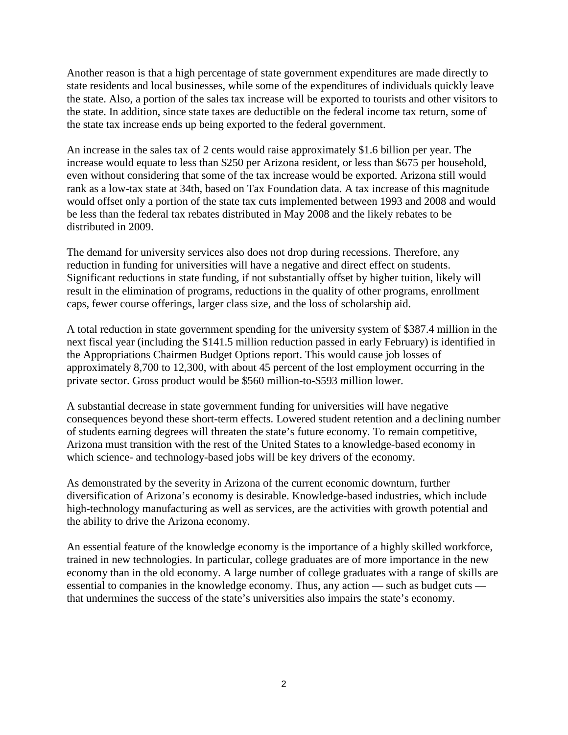Another reason is that a high percentage of state government expenditures are made directly to state residents and local businesses, while some of the expenditures of individuals quickly leave the state. Also, a portion of the sales tax increase will be exported to tourists and other visitors to the state. In addition, since state taxes are deductible on the federal income tax return, some of the state tax increase ends up being exported to the federal government.

An increase in the sales tax of 2 cents would raise approximately \$1.6 billion per year. The increase would equate to less than \$250 per Arizona resident, or less than \$675 per household, even without considering that some of the tax increase would be exported. Arizona still would rank as a low-tax state at 34th, based on Tax Foundation data. A tax increase of this magnitude would offset only a portion of the state tax cuts implemented between 1993 and 2008 and would be less than the federal tax rebates distributed in May 2008 and the likely rebates to be distributed in 2009.

The demand for university services also does not drop during recessions. Therefore, any reduction in funding for universities will have a negative and direct effect on students. Significant reductions in state funding, if not substantially offset by higher tuition, likely will result in the elimination of programs, reductions in the quality of other programs, enrollment caps, fewer course offerings, larger class size, and the loss of scholarship aid.

A total reduction in state government spending for the university system of \$387.4 million in the next fiscal year (including the \$141.5 million reduction passed in early February) is identified in the Appropriations Chairmen Budget Options report. This would cause job losses of approximately 8,700 to 12,300, with about 45 percent of the lost employment occurring in the private sector. Gross product would be \$560 million-to-\$593 million lower.

A substantial decrease in state government funding for universities will have negative consequences beyond these short-term effects. Lowered student retention and a declining number of students earning degrees will threaten the state's future economy. To remain competitive, Arizona must transition with the rest of the United States to a knowledge-based economy in which science- and technology-based jobs will be key drivers of the economy.

As demonstrated by the severity in Arizona of the current economic downturn, further diversification of Arizona's economy is desirable. Knowledge-based industries, which include high-technology manufacturing as well as services, are the activities with growth potential and the ability to drive the Arizona economy.

An essential feature of the knowledge economy is the importance of a highly skilled workforce, trained in new technologies. In particular, college graduates are of more importance in the new economy than in the old economy. A large number of college graduates with a range of skills are essential to companies in the knowledge economy. Thus, any action — such as budget cuts that undermines the success of the state's universities also impairs the state's economy.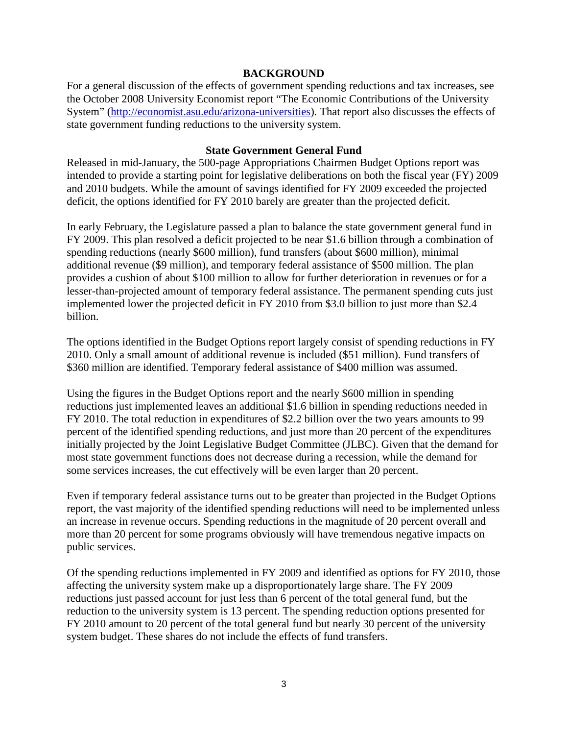#### **BACKGROUND**

For a general discussion of the effects of government spending reductions and tax increases, see the October 2008 University Economist report "The Economic Contributions of the University System" [\(http://economist.asu.edu/arizona-universities\)](http://economist.asu.edu/arizona-universities). That report also discusses the effects of state government funding reductions to the university system.

#### **State Government General Fund**

Released in mid-January, the 500-page Appropriations Chairmen Budget Options report was intended to provide a starting point for legislative deliberations on both the fiscal year (FY) 2009 and 2010 budgets. While the amount of savings identified for FY 2009 exceeded the projected deficit, the options identified for FY 2010 barely are greater than the projected deficit.

In early February, the Legislature passed a plan to balance the state government general fund in FY 2009. This plan resolved a deficit projected to be near \$1.6 billion through a combination of spending reductions (nearly \$600 million), fund transfers (about \$600 million), minimal additional revenue (\$9 million), and temporary federal assistance of \$500 million. The plan provides a cushion of about \$100 million to allow for further deterioration in revenues or for a lesser-than-projected amount of temporary federal assistance. The permanent spending cuts just implemented lower the projected deficit in FY 2010 from \$3.0 billion to just more than \$2.4 billion.

The options identified in the Budget Options report largely consist of spending reductions in FY 2010. Only a small amount of additional revenue is included (\$51 million). Fund transfers of \$360 million are identified. Temporary federal assistance of \$400 million was assumed.

Using the figures in the Budget Options report and the nearly \$600 million in spending reductions just implemented leaves an additional \$1.6 billion in spending reductions needed in FY 2010. The total reduction in expenditures of \$2.2 billion over the two years amounts to 99 percent of the identified spending reductions, and just more than 20 percent of the expenditures initially projected by the Joint Legislative Budget Committee (JLBC). Given that the demand for most state government functions does not decrease during a recession, while the demand for some services increases, the cut effectively will be even larger than 20 percent.

Even if temporary federal assistance turns out to be greater than projected in the Budget Options report, the vast majority of the identified spending reductions will need to be implemented unless an increase in revenue occurs. Spending reductions in the magnitude of 20 percent overall and more than 20 percent for some programs obviously will have tremendous negative impacts on public services.

Of the spending reductions implemented in FY 2009 and identified as options for FY 2010, those affecting the university system make up a disproportionately large share. The FY 2009 reductions just passed account for just less than 6 percent of the total general fund, but the reduction to the university system is 13 percent. The spending reduction options presented for FY 2010 amount to 20 percent of the total general fund but nearly 30 percent of the university system budget. These shares do not include the effects of fund transfers.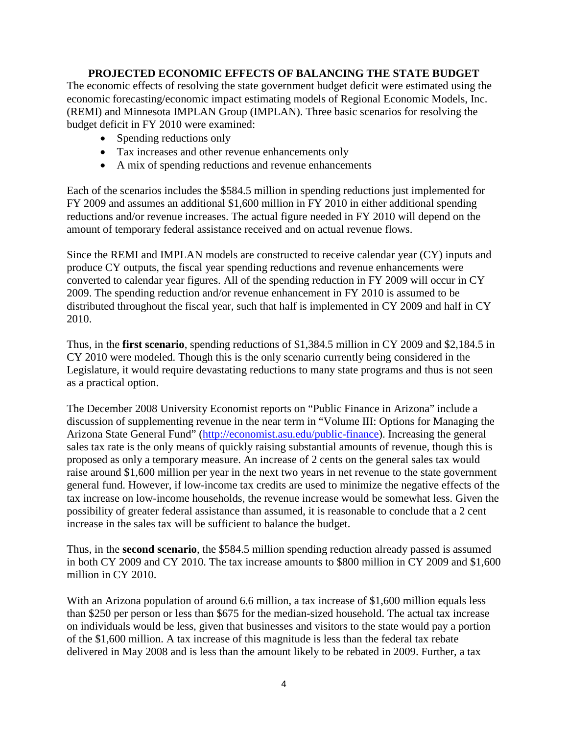#### **PROJECTED ECONOMIC EFFECTS OF BALANCING THE STATE BUDGET**

The economic effects of resolving the state government budget deficit were estimated using the economic forecasting/economic impact estimating models of Regional Economic Models, Inc. (REMI) and Minnesota IMPLAN Group (IMPLAN). Three basic scenarios for resolving the budget deficit in FY 2010 were examined:

- Spending reductions only
- Tax increases and other revenue enhancements only
- A mix of spending reductions and revenue enhancements

Each of the scenarios includes the \$584.5 million in spending reductions just implemented for FY 2009 and assumes an additional \$1,600 million in FY 2010 in either additional spending reductions and/or revenue increases. The actual figure needed in FY 2010 will depend on the amount of temporary federal assistance received and on actual revenue flows.

Since the REMI and IMPLAN models are constructed to receive calendar year (CY) inputs and produce CY outputs, the fiscal year spending reductions and revenue enhancements were converted to calendar year figures. All of the spending reduction in FY 2009 will occur in CY 2009. The spending reduction and/or revenue enhancement in FY 2010 is assumed to be distributed throughout the fiscal year, such that half is implemented in CY 2009 and half in CY 2010.

Thus, in the **first scenario**, spending reductions of \$1,384.5 million in CY 2009 and \$2,184.5 in CY 2010 were modeled. Though this is the only scenario currently being considered in the Legislature, it would require devastating reductions to many state programs and thus is not seen as a practical option.

The December 2008 University Economist reports on "Public Finance in Arizona" include a discussion of supplementing revenue in the near term in "Volume III: Options for Managing the Arizona State General Fund" [\(http://economist.asu.edu/public-finance\)](http://economist.asu.edu/public-finance). Increasing the general sales tax rate is the only means of quickly raising substantial amounts of revenue, though this is proposed as only a temporary measure. An increase of 2 cents on the general sales tax would raise around \$1,600 million per year in the next two years in net revenue to the state government general fund. However, if low-income tax credits are used to minimize the negative effects of the tax increase on low-income households, the revenue increase would be somewhat less. Given the possibility of greater federal assistance than assumed, it is reasonable to conclude that a 2 cent increase in the sales tax will be sufficient to balance the budget.

Thus, in the **second scenario**, the \$584.5 million spending reduction already passed is assumed in both CY 2009 and CY 2010. The tax increase amounts to \$800 million in CY 2009 and \$1,600 million in CY 2010.

With an Arizona population of around 6.6 million, a tax increase of \$1,600 million equals less than \$250 per person or less than \$675 for the median-sized household. The actual tax increase on individuals would be less, given that businesses and visitors to the state would pay a portion of the \$1,600 million. A tax increase of this magnitude is less than the federal tax rebate delivered in May 2008 and is less than the amount likely to be rebated in 2009. Further, a tax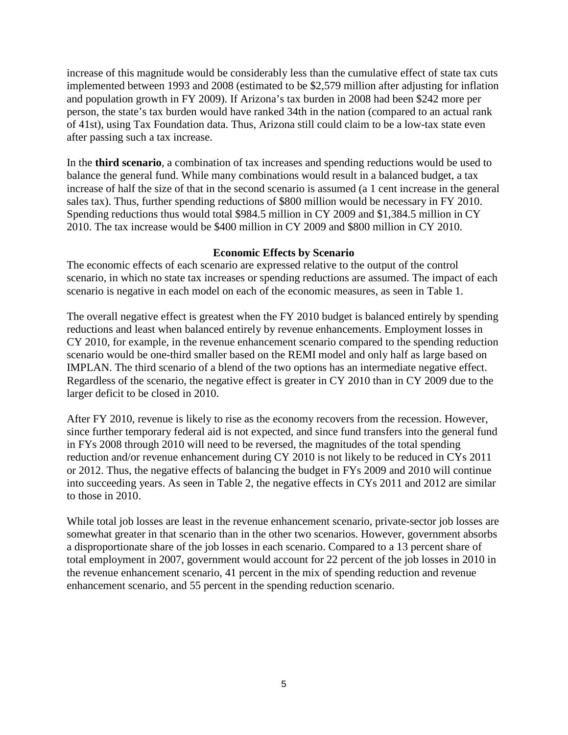increase of this magnitude would be considerably less than the cumulative effect of state tax cuts implemented between 1993 and 2008 (estimated to be \$2,579 million after adjusting for inflation and population growth in FY 2009). If Arizona's tax burden in 2008 had been \$242 more per person, the state's tax burden would have ranked 34th in the nation (compared to an actual rank of 41st), using Tax Foundation data. Thus, Arizona still could claim to be a low-tax state even after passing such a tax increase.

In the **third scenario**, a combination of tax increases and spending reductions would be used to balance the general fund. While many combinations would result in a balanced budget, a tax increase of half the size of that in the second scenario is assumed (a 1 cent increase in the general sales tax). Thus, further spending reductions of \$800 million would be necessary in FY 2010. Spending reductions thus would total \$984.5 million in CY 2009 and \$1,384.5 million in CY 2010. The tax increase would be \$400 million in CY 2009 and \$800 million in CY 2010.

#### **Economic Effects by Scenario**

The economic effects of each scenario are expressed relative to the output of the control scenario, in which no state tax increases or spending reductions are assumed. The impact of each scenario is negative in each model on each of the economic measures, as seen in Table 1.

The overall negative effect is greatest when the FY 2010 budget is balanced entirely by spending reductions and least when balanced entirely by revenue enhancements. Employment losses in CY 2010, for example, in the revenue enhancement scenario compared to the spending reduction scenario would be one-third smaller based on the REMI model and only half as large based on IMPLAN. The third scenario of a blend of the two options has an intermediate negative effect. Regardless of the scenario, the negative effect is greater in CY 2010 than in CY 2009 due to the larger deficit to be closed in 2010.

After FY 2010, revenue is likely to rise as the economy recovers from the recession. However, since further temporary federal aid is not expected, and since fund transfers into the general fund in FYs 2008 through 2010 will need to be reversed, the magnitudes of the total spending reduction and/or revenue enhancement during CY 2010 is not likely to be reduced in CYs 2011 or 2012. Thus, the negative effects of balancing the budget in FYs 2009 and 2010 will continue into succeeding years. As seen in Table 2, the negative effects in CYs 2011 and 2012 are similar to those in 2010.

While total job losses are least in the revenue enhancement scenario, private-sector job losses are somewhat greater in that scenario than in the other two scenarios. However, government absorbs a disproportionate share of the job losses in each scenario. Compared to a 13 percent share of total employment in 2007, government would account for 22 percent of the job losses in 2010 in the revenue enhancement scenario, 41 percent in the mix of spending reduction and revenue enhancement scenario, and 55 percent in the spending reduction scenario.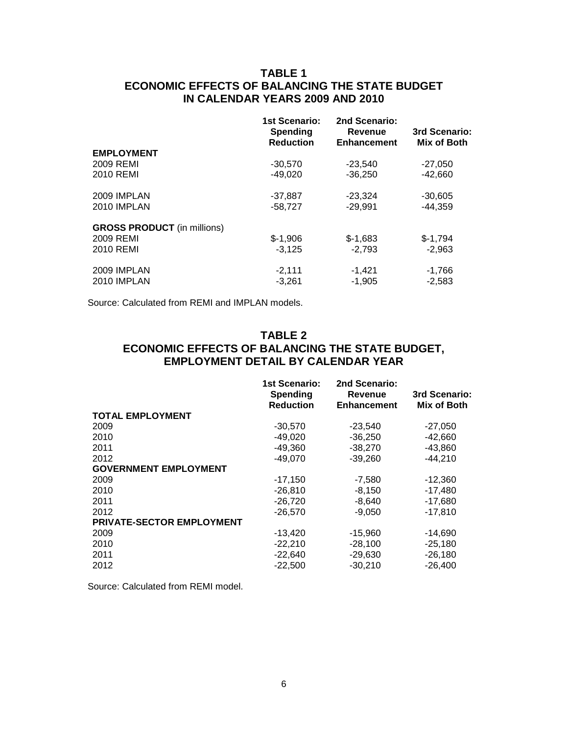### **TABLE 1 ECONOMIC EFFECTS OF BALANCING THE STATE BUDGET IN CALENDAR YEARS 2009 AND 2010**

|                                    | <b>1st Scenario:</b><br><b>Spending</b><br><b>Reduction</b> | 2nd Scenario:<br>Revenue<br><b>Enhancement</b> | 3rd Scenario:<br>Mix of Both |
|------------------------------------|-------------------------------------------------------------|------------------------------------------------|------------------------------|
| <b>EMPLOYMENT</b>                  |                                                             |                                                |                              |
| 2009 REMI                          | $-30,570$                                                   | $-23,540$                                      | $-27,050$                    |
| 2010 REMI                          | $-49.020$                                                   | $-36.250$                                      | $-42.660$                    |
| 2009 IMPLAN                        | $-37,887$                                                   | $-23.324$                                      | $-30,605$                    |
| 2010 IMPLAN                        | $-58,727$                                                   | $-29.991$                                      | $-44.359$                    |
| <b>GROSS PRODUCT</b> (in millions) |                                                             |                                                |                              |
| 2009 REMI                          | $$-1,906$                                                   | $$-1,683$                                      | $$-1,794$                    |
| 2010 REMI                          | $-3.125$                                                    | $-2.793$                                       | $-2,963$                     |
| 2009 IMPLAN                        | $-2,111$                                                    | $-1,421$                                       | $-1,766$                     |
| 2010 IMPLAN                        | $-3,261$                                                    | $-1,905$                                       | $-2,583$                     |

Source: Calculated from REMI and IMPLAN models.

#### **TABLE 2 ECONOMIC EFFECTS OF BALANCING THE STATE BUDGET, EMPLOYMENT DETAIL BY CALENDAR YEAR**

|                                  | 1st Scenario:<br><b>Spending</b><br><b>Reduction</b> | 2nd Scenario:<br><b>Revenue</b><br><b>Enhancement</b> | 3rd Scenario:<br>Mix of Both |
|----------------------------------|------------------------------------------------------|-------------------------------------------------------|------------------------------|
| <b>TOTAL EMPLOYMENT</b>          |                                                      |                                                       |                              |
| 2009                             | $-30,570$                                            | $-23,540$                                             | $-27,050$                    |
| 2010                             | $-49,020$                                            | $-36,250$                                             | $-42,660$                    |
| 2011                             | $-49,360$                                            | $-38,270$                                             | $-43,860$                    |
| 2012                             | $-49,070$                                            | $-39.260$                                             | $-44,210$                    |
| <b>GOVERNMENT EMPLOYMENT</b>     |                                                      |                                                       |                              |
| 2009                             | $-17,150$                                            | $-7,580$                                              | $-12,360$                    |
| 2010                             | $-26,810$                                            | $-8,150$                                              | $-17,480$                    |
| 2011                             | $-26,720$                                            | $-8,640$                                              | $-17,680$                    |
| 2012                             | $-26,570$                                            | $-9,050$                                              | $-17,810$                    |
| <b>PRIVATE-SECTOR EMPLOYMENT</b> |                                                      |                                                       |                              |
| 2009                             | $-13,420$                                            | $-15,960$                                             | $-14,690$                    |
| 2010                             | $-22,210$                                            | $-28,100$                                             | $-25,180$                    |
| 2011                             | $-22,640$                                            | $-29,630$                                             | $-26,180$                    |
| 2012                             | $-22.500$                                            | $-30,210$                                             | $-26,400$                    |

Source: Calculated from REMI model.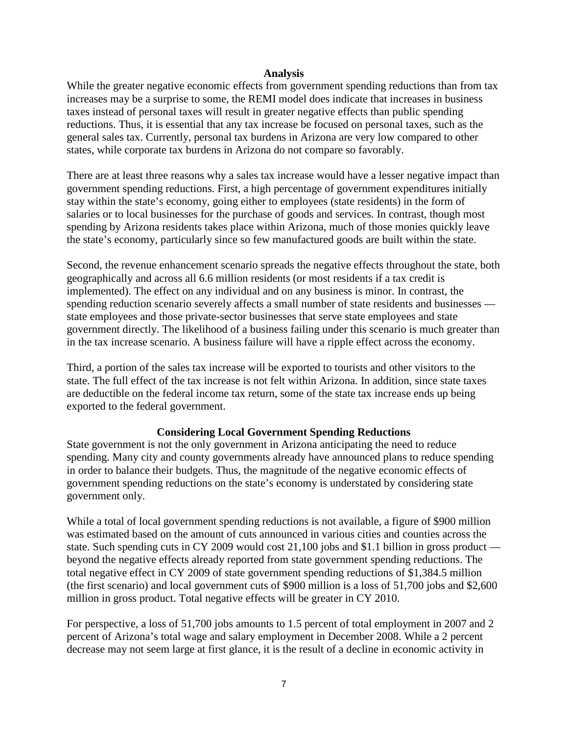#### **Analysis**

While the greater negative economic effects from government spending reductions than from tax increases may be a surprise to some, the REMI model does indicate that increases in business taxes instead of personal taxes will result in greater negative effects than public spending reductions. Thus, it is essential that any tax increase be focused on personal taxes, such as the general sales tax. Currently, personal tax burdens in Arizona are very low compared to other states, while corporate tax burdens in Arizona do not compare so favorably.

There are at least three reasons why a sales tax increase would have a lesser negative impact than government spending reductions. First, a high percentage of government expenditures initially stay within the state's economy, going either to employees (state residents) in the form of salaries or to local businesses for the purchase of goods and services. In contrast, though most spending by Arizona residents takes place within Arizona, much of those monies quickly leave the state's economy, particularly since so few manufactured goods are built within the state.

Second, the revenue enhancement scenario spreads the negative effects throughout the state, both geographically and across all 6.6 million residents (or most residents if a tax credit is implemented). The effect on any individual and on any business is minor. In contrast, the spending reduction scenario severely affects a small number of state residents and businesses state employees and those private-sector businesses that serve state employees and state government directly. The likelihood of a business failing under this scenario is much greater than in the tax increase scenario. A business failure will have a ripple effect across the economy.

Third, a portion of the sales tax increase will be exported to tourists and other visitors to the state. The full effect of the tax increase is not felt within Arizona. In addition, since state taxes are deductible on the federal income tax return, some of the state tax increase ends up being exported to the federal government.

#### **Considering Local Government Spending Reductions**

State government is not the only government in Arizona anticipating the need to reduce spending. Many city and county governments already have announced plans to reduce spending in order to balance their budgets. Thus, the magnitude of the negative economic effects of government spending reductions on the state's economy is understated by considering state government only.

While a total of local government spending reductions is not available, a figure of \$900 million was estimated based on the amount of cuts announced in various cities and counties across the state. Such spending cuts in CY 2009 would cost 21,100 jobs and \$1.1 billion in gross product beyond the negative effects already reported from state government spending reductions. The total negative effect in CY 2009 of state government spending reductions of \$1,384.5 million (the first scenario) and local government cuts of \$900 million is a loss of 51,700 jobs and \$2,600 million in gross product. Total negative effects will be greater in CY 2010.

For perspective, a loss of 51,700 jobs amounts to 1.5 percent of total employment in 2007 and 2 percent of Arizona's total wage and salary employment in December 2008. While a 2 percent decrease may not seem large at first glance, it is the result of a decline in economic activity in